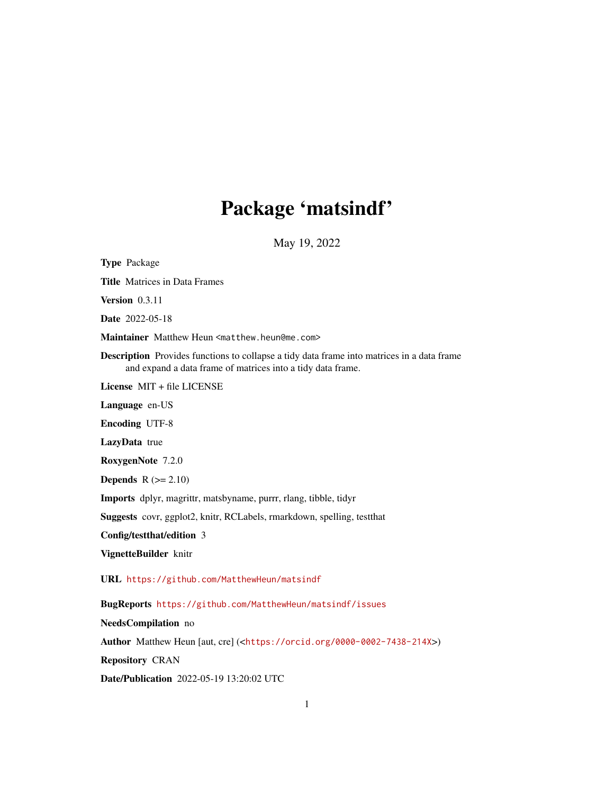# Package 'matsindf'

May 19, 2022

Type Package Title Matrices in Data Frames Version 0.3.11 Date 2022-05-18 Maintainer Matthew Heun <matthew.heun@me.com> Description Provides functions to collapse a tidy data frame into matrices in a data frame and expand a data frame of matrices into a tidy data frame. License MIT + file LICENSE Language en-US Encoding UTF-8 LazyData true RoxygenNote 7.2.0 **Depends**  $R$  ( $>= 2.10$ ) Imports dplyr, magrittr, matsbyname, purrr, rlang, tibble, tidyr Suggests covr, ggplot2, knitr, RCLabels, rmarkdown, spelling, testthat Config/testthat/edition 3 VignetteBuilder knitr URL <https://github.com/MatthewHeun/matsindf> BugReports <https://github.com/MatthewHeun/matsindf/issues> NeedsCompilation no Author Matthew Heun [aut, cre] (<<https://orcid.org/0000-0002-7438-214X>>) Repository CRAN Date/Publication 2022-05-19 13:20:02 UTC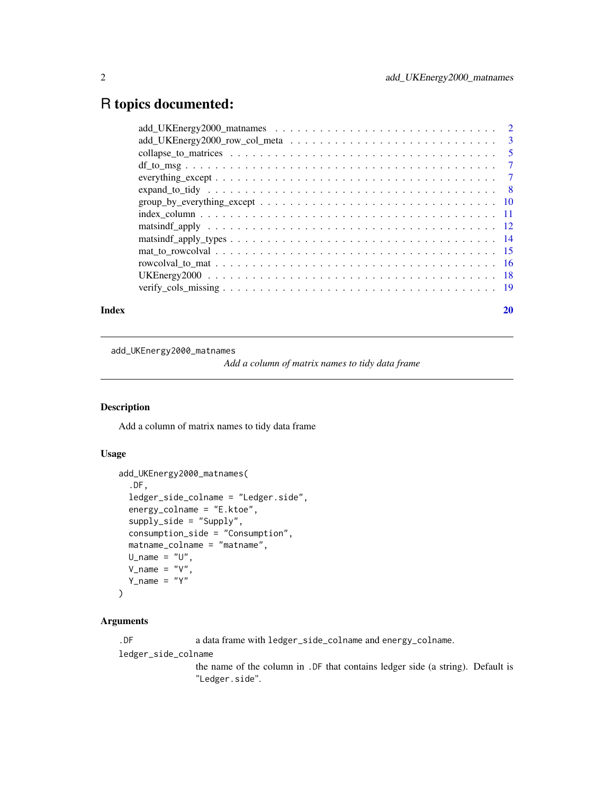# <span id="page-1-0"></span>R topics documented:

| Index | 20 |
|-------|----|
|       |    |
|       |    |
|       |    |
|       |    |
|       |    |
|       |    |
|       |    |
|       |    |
|       |    |
|       |    |
|       |    |
|       |    |
|       |    |
|       |    |

add\_UKEnergy2000\_matnames

*Add a column of matrix names to tidy data frame*

# Description

Add a column of matrix names to tidy data frame

# Usage

```
add_UKEnergy2000_matnames(
  .DF,
  ledger_side_colname = "Ledger.side",
  energy_colname = "E.ktoe",
  supply_side = "Supply",
  consumption_side = "Consumption",
  matname_colname = "matname",
 U_{\text{name}} = "U",V\_name = "V",Y_name = "Y")
```
# Arguments

.DF a data frame with ledger\_side\_colname and energy\_colname.

ledger\_side\_colname

the name of the column in .DF that contains ledger side (a string). Default is "Ledger.side".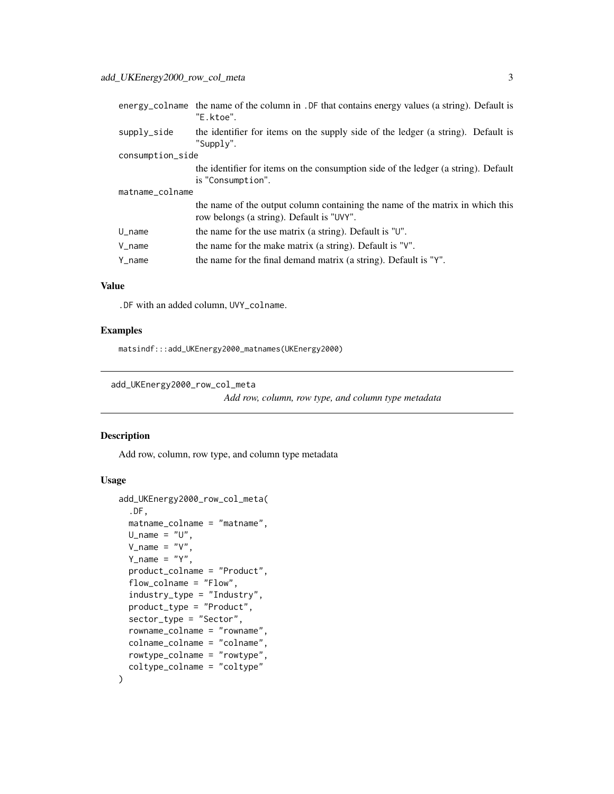<span id="page-2-0"></span>

|                      | energy_colname the name of the column in . DF that contains energy values (a string). Default is<br>"E.ktoe".              |
|----------------------|----------------------------------------------------------------------------------------------------------------------------|
| supply_side          | the identifier for items on the supply side of the ledger (a string). Default is<br>"Supply".                              |
| consumption_side     |                                                                                                                            |
|                      | the identifier for items on the consumption side of the ledger (a string). Default<br>is "Consumption".                    |
| matname_colname      |                                                                                                                            |
|                      | the name of the output column containing the name of the matrix in which this<br>row belongs (a string). Default is "UVY". |
| $U$ <sub>name</sub>  | the name for the use matrix (a string). Default is "U".                                                                    |
| $V$ <sub>name</sub>  | the name for the make matrix (a string). Default is "V".                                                                   |
| $Y$ <sub>_name</sub> | the name for the final demand matrix (a string). Default is "Y".                                                           |
|                      |                                                                                                                            |

# Value

.DF with an added column, UVY\_colname.

# Examples

matsindf:::add\_UKEnergy2000\_matnames(UKEnergy2000)

add\_UKEnergy2000\_row\_col\_meta

*Add row, column, row type, and column type metadata*

# Description

Add row, column, row type, and column type metadata

```
add_UKEnergy2000_row_col_meta(
  .DF,
 matname_colname = "matname",
 U_name = "U",
  V_name = "V",Y\_name = "Y",product_colname = "Product",
  flow_colname = "Flow",
  industry_type = "Industry",
 product_type = "Product",
  sector_type = "Sector",
  rowname_colname = "rowname",
  colname_colname = "colname",
  rowtype_colname = "rowtype",
  coltype_colname = "coltype"
\mathcal{E}
```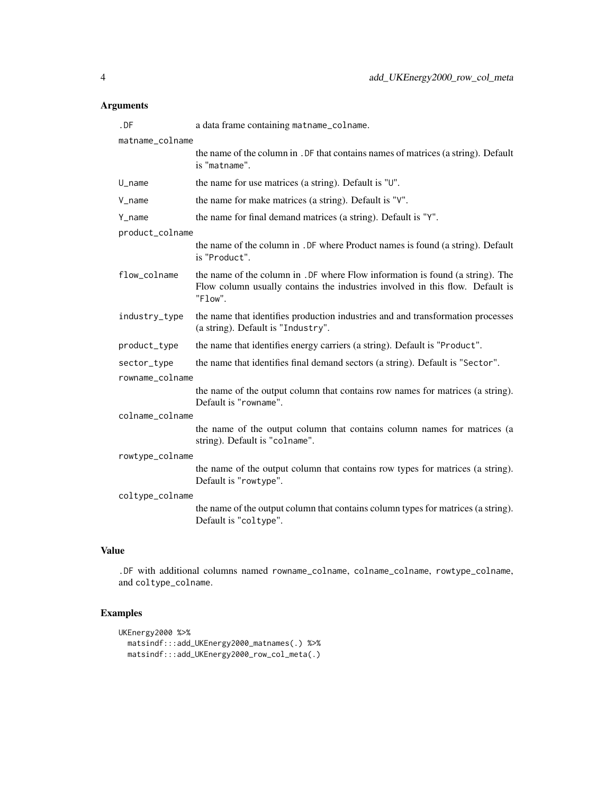| $.$ DF          | a data frame containing matname_colname.                                                                                                                                   |  |
|-----------------|----------------------------------------------------------------------------------------------------------------------------------------------------------------------------|--|
| matname_colname |                                                                                                                                                                            |  |
|                 | the name of the column in . DF that contains names of matrices (a string). Default<br>is "matname".                                                                        |  |
| U_name          | the name for use matrices (a string). Default is "U".                                                                                                                      |  |
| V_name          | the name for make matrices (a string). Default is "V".                                                                                                                     |  |
| Y_name          | the name for final demand matrices (a string). Default is "Y".                                                                                                             |  |
| product_colname |                                                                                                                                                                            |  |
|                 | the name of the column in . DF where Product names is found (a string). Default<br>is "Product".                                                                           |  |
| flow_colname    | the name of the column in . DF where Flow information is found (a string). The<br>Flow column usually contains the industries involved in this flow. Default is<br>"Flow". |  |
| industry_type   | the name that identifies production industries and and transformation processes<br>(a string). Default is "Industry".                                                      |  |
| product_type    | the name that identifies energy carriers (a string). Default is "Product".                                                                                                 |  |
| sector_type     | the name that identifies final demand sectors (a string). Default is "Sector".                                                                                             |  |
| rowname_colname |                                                                                                                                                                            |  |
|                 | the name of the output column that contains row names for matrices (a string).<br>Default is "rowname".                                                                    |  |
| colname_colname |                                                                                                                                                                            |  |
|                 | the name of the output column that contains column names for matrices (a<br>string). Default is "colname".                                                                 |  |
| rowtype_colname |                                                                                                                                                                            |  |
|                 | the name of the output column that contains row types for matrices (a string).<br>Default is "rowtype".                                                                    |  |
| coltype_colname |                                                                                                                                                                            |  |
|                 | the name of the output column that contains column types for matrices (a string).<br>Default is "coltype".                                                                 |  |
|                 |                                                                                                                                                                            |  |

# Value

.DF with additional columns named rowname\_colname, colname\_colname, rowtype\_colname, and coltype\_colname.

```
UKEnergy2000 %>%
  matsindf:::add_UKEnergy2000_matnames(.) %>%
  matsindf:::add_UKEnergy2000_row_col_meta(.)
```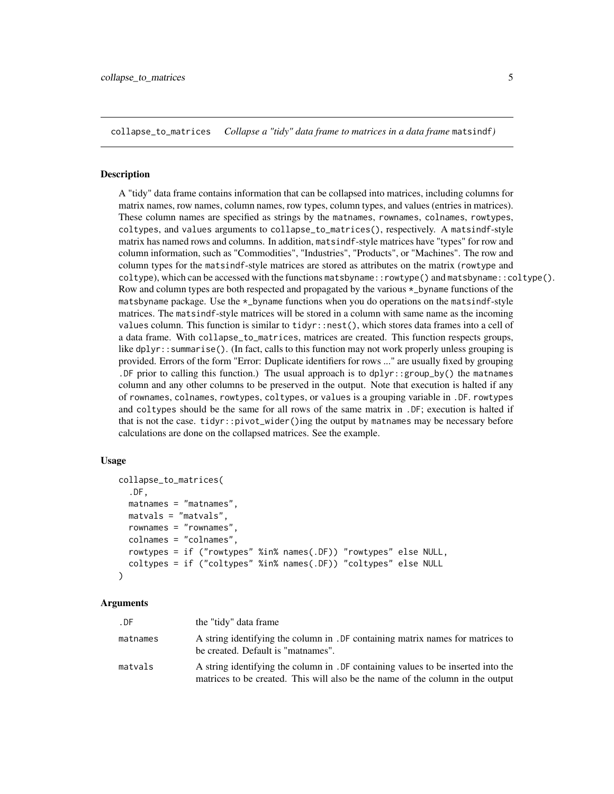<span id="page-4-0"></span>collapse\_to\_matrices *Collapse a "tidy" data frame to matrices in a data frame* matsindf*)*

#### **Description**

A "tidy" data frame contains information that can be collapsed into matrices, including columns for matrix names, row names, column names, row types, column types, and values (entries in matrices). These column names are specified as strings by the matnames, rownames, colnames, rowtypes, coltypes, and values arguments to collapse\_to\_matrices(), respectively. A matsindf-style matrix has named rows and columns. In addition, matsindf-style matrices have "types" for row and column information, such as "Commodities", "Industries", "Products", or "Machines". The row and column types for the matsindf-style matrices are stored as attributes on the matrix (rowtype and coltype), which can be accessed with the functions matsbyname::rowtype() and matsbyname::coltype(). Row and column types are both respected and propagated by the various \*\_byname functions of the matsbyname package. Use the \*\_byname functions when you do operations on the matsindf-style matrices. The matsindf-style matrices will be stored in a column with same name as the incoming values column. This function is similar to tidyr::nest(), which stores data frames into a cell of a data frame. With collapse\_to\_matrices, matrices are created. This function respects groups, like dplyr::summarise(). (In fact, calls to this function may not work properly unless grouping is provided. Errors of the form "Error: Duplicate identifiers for rows ..." are usually fixed by grouping . DF prior to calling this function.) The usual approach is to  $dplyr::group_by()$  the matnames column and any other columns to be preserved in the output. Note that execution is halted if any of rownames, colnames, rowtypes, coltypes, or values is a grouping variable in .DF. rowtypes and coltypes should be the same for all rows of the same matrix in .DF; execution is halted if that is not the case. tidyr::pivot\_wider()ing the output by matnames may be necessary before calculations are done on the collapsed matrices. See the example.

# Usage

```
collapse_to_matrices(
  .DF,
  matnames = "matnames",
 matvals = "matvals",
  rownames = "rownames",
  colnames = "colnames",
  rowtypes = if ("rowtypes" %in% names(.DF)) "rowtypes" else NULL,
  coltypes = if ("coltypes" %in% names(.DF)) "coltypes" else NULL
)
```
#### Arguments

| .DF      | the "tidy" data frame                                                                                                                                               |
|----------|---------------------------------------------------------------------------------------------------------------------------------------------------------------------|
| matnames | A string identifying the column in . DF containing matrix names for matrices to<br>be created. Default is "matnames".                                               |
| matvals  | A string identifying the column in . DF containing values to be inserted into the<br>matrices to be created. This will also be the name of the column in the output |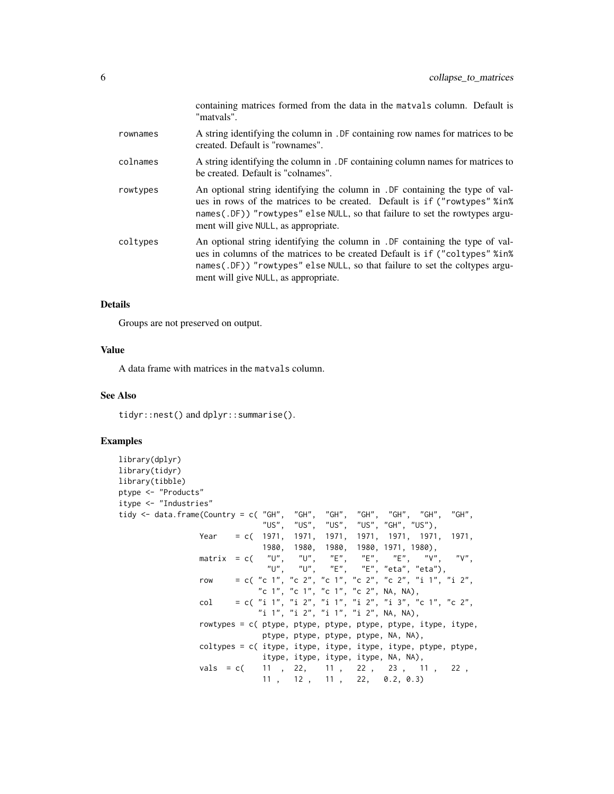|          | containing matrices formed from the data in the matvals column. Default is<br>"matvals".                                                                                                                                                                                              |
|----------|---------------------------------------------------------------------------------------------------------------------------------------------------------------------------------------------------------------------------------------------------------------------------------------|
| rownames | A string identifying the column in . DF containing row names for matrices to be<br>created. Default is "rownames".                                                                                                                                                                    |
| colnames | A string identifying the column in . DF containing column names for matrices to<br>be created. Default is "colnames".                                                                                                                                                                 |
| rowtypes | An optional string identifying the column in . DF containing the type of val-<br>ues in rows of the matrices to be created. Default is if ("rowtypes" %in%<br>names(.DF)) "rowtypes" else NULL, so that failure to set the rowtypes argu-<br>ment will give NULL, as appropriate.     |
| coltypes | An optional string identifying the column in . DF containing the type of val-<br>ues in columns of the matrices to be created Default is if ("coltypes" % in %<br>names(.DF)) "rowtypes" else NULL, so that failure to set the coltypes argu-<br>ment will give NULL, as appropriate. |

# Details

Groups are not preserved on output.

# Value

A data frame with matrices in the matvals column.

# See Also

tidyr::nest() and dplyr::summarise().

```
library(dplyr)
library(tidyr)
library(tibble)
ptype <- "Products"
itype <- "Industries"
tidy <- data.frame(Country = c( "GH", "GH", "GH", "GH", "GH", "GH", "GH",
                               "US", "US", "US", "US", "GH", "US"),
                 Year = c( 1971, 1971, 1971, 1971, 1971, 1971, 1971,
                               1980, 1980, 1980, 1980, 1971, 1980),
                 matrix = c( "U", "U", "E", "E", "E", "V", "V",<br>"U", "U", "E", "E", "eta", "eta"),
                                      "U", "U", "E", "E", "eta", "eta"),
                 row = c( "c 1", "c 2", "c 1", "c 2", "c 2", "i 1", "i 2",
                              "c 1", "c 1", "c 1", "c 2", NA, NA),
                 col = c( "i 1", "i 2", "i 1", "i 2", "i 3", "c 1", "c 2",
                              "i 1", "i 2", "i 1", "i 2", NA, NA),
                 rowtypes = c( ptype, ptype, ptype, ptype, ptype, itype, itype,
                               ptype, ptype, ptype, ptype, NA, NA),
                 coltypes = c( itype, itype, itype, itype, itype, ptype, ptype,
                               itype, itype, itype, itype, NA, NA),
                 vals = c( 11, 22, 11, 22, 23, 11, 22,
                               11 , 12 , 11 , 22, 0.2, 0.3)
```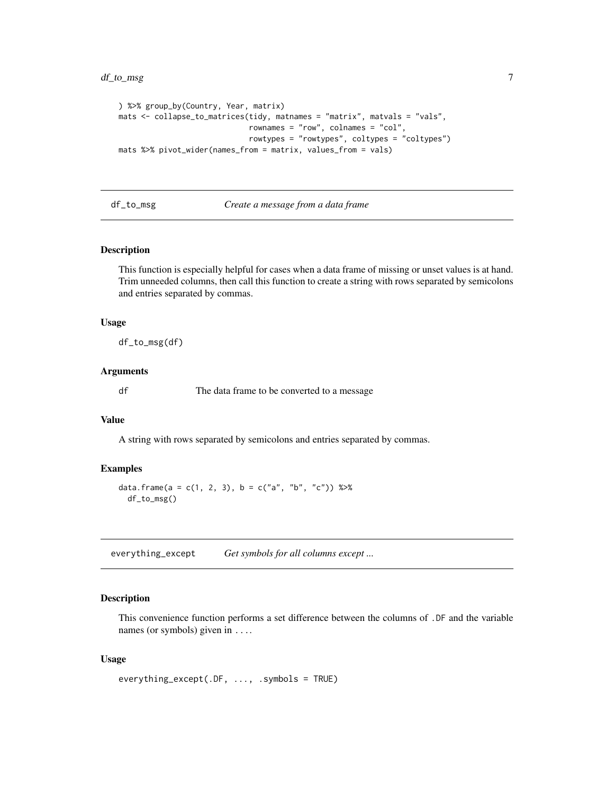# <span id="page-6-0"></span>df\_to\_msg 7

```
) %>% group_by(Country, Year, matrix)
mats <- collapse_to_matrices(tidy, matnames = "matrix", matvals = "vals",
                             rownames = "row", colnames = "col",
                             rowtypes = "rowtypes", coltypes = "coltypes")
mats %>% pivot_wider(names_from = matrix, values_from = vals)
```
df\_to\_msg *Create a message from a data frame*

# Description

This function is especially helpful for cases when a data frame of missing or unset values is at hand. Trim unneeded columns, then call this function to create a string with rows separated by semicolons and entries separated by commas.

#### Usage

df\_to\_msg(df)

# Arguments

df The data frame to be converted to a message

# Value

A string with rows separated by semicolons and entries separated by commas.

# Examples

```
data.frame(a = c(1, 2, 3), b = c("a", "b", "c")) %>%
  df_to_msg()
```
everything\_except *Get symbols for all columns except ...*

#### Description

This convenience function performs a set difference between the columns of .DF and the variable names (or symbols) given in ....

```
everything_except(.DF, ..., .symbols = TRUE)
```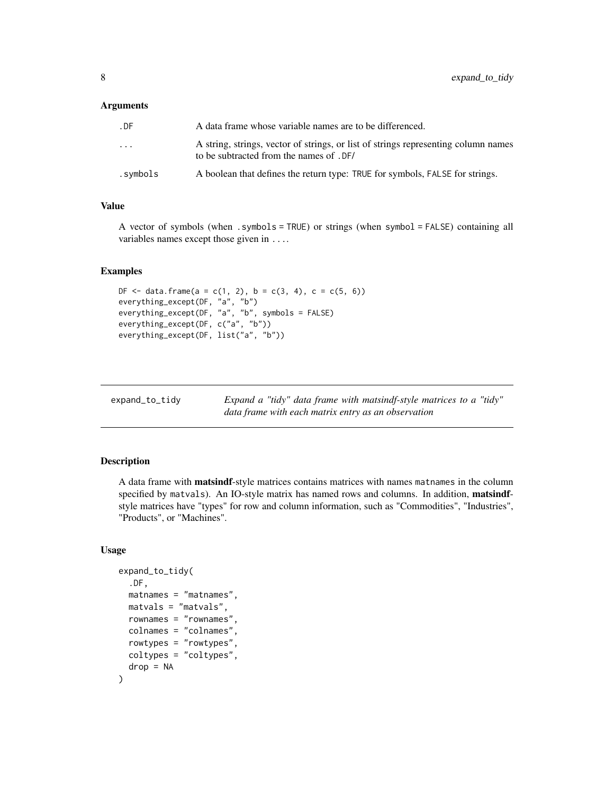<span id="page-7-0"></span>

| . DF                    | A data frame whose variable names are to be differenced.                                                                       |
|-------------------------|--------------------------------------------------------------------------------------------------------------------------------|
| $\cdot$ $\cdot$ $\cdot$ | A string, strings, vector of strings, or list of strings representing column names<br>to be subtracted from the names of . DF/ |
| .symbols.               | A boolean that defines the return type: TRUE for symbols, FALSE for strings.                                                   |

# Value

A vector of symbols (when .symbols = TRUE) or strings (when symbol = FALSE) containing all variables names except those given in ....

# Examples

```
DF <- data.frame(a = c(1, 2), b = c(3, 4), c = c(5, 6))
everything_except(DF, "a", "b")
everything_except(DF, "a", "b", symbols = FALSE)
everything_except(DF, c("a", "b"))
everything_except(DF, list("a", "b"))
```

| expand_to_tidy | Expand a "tidy" data frame with matsindf-style matrices to a "tidy" |
|----------------|---------------------------------------------------------------------|
|                | data frame with each matrix entry as an observation                 |

# Description

A data frame with matsindf-style matrices contains matrices with names matnames in the column specified by matvals). An IO-style matrix has named rows and columns. In addition, matsindfstyle matrices have "types" for row and column information, such as "Commodities", "Industries", "Products", or "Machines".

```
expand_to_tidy(
  .DF,
  matnames = "matnames",
  matvals = "matvals",
  rownames = "rownames",
  colnames = "colnames",
  rowtypes = "rowtypes",
  coltypes = "coltypes",
  drop = NA)
```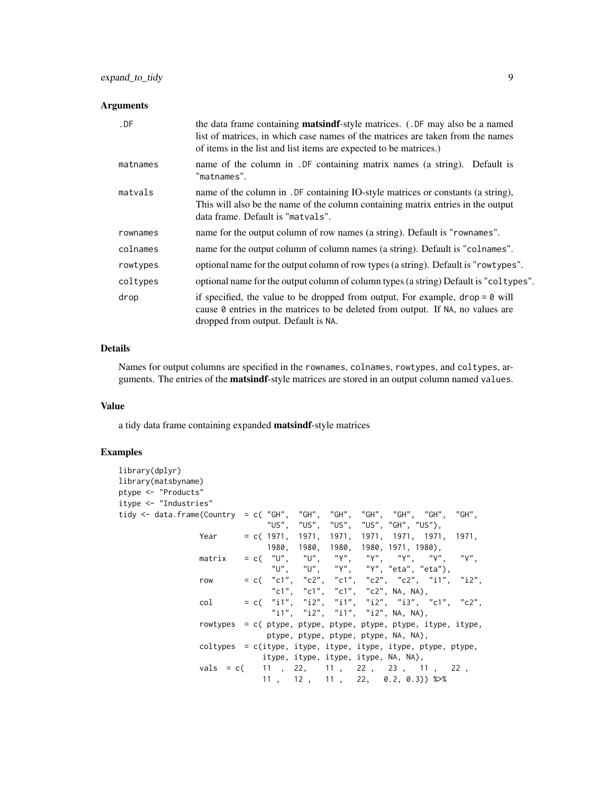| .DF      | the data frame containing <b>matsindf</b> -style matrices. (.DF may also be a named<br>list of matrices, in which case names of the matrices are taken from the names<br>of items in the list and list items are expected to be matrices.) |
|----------|--------------------------------------------------------------------------------------------------------------------------------------------------------------------------------------------------------------------------------------------|
| matnames | name of the column in . DF containing matrix names (a string). Default is<br>"matnames".                                                                                                                                                   |
| matvals  | name of the column in . DF containing IO-style matrices or constants (a string),<br>This will also be the name of the column containing matrix entries in the output<br>data frame. Default is "matvals".                                  |
| rownames | name for the output column of row names (a string). Default is "rownames".                                                                                                                                                                 |
| colnames | name for the output column of column names (a string). Default is "colnames".                                                                                                                                                              |
| rowtypes | optional name for the output column of row types (a string). Default is "rowtypes".                                                                                                                                                        |
| coltypes | optional name for the output column of column types (a string) Default is "coltypes".                                                                                                                                                      |
| drop     | if specified, the value to be dropped from output, For example, $drop = 0$ will<br>cause 0 entries in the matrices to be deleted from output. If NA, no values are<br>dropped from output. Default is NA.                                  |

# Details

Names for output columns are specified in the rownames, colnames, rowtypes, and coltypes, arguments. The entries of the matsindf-style matrices are stored in an output column named values.

# Value

a tidy data frame containing expanded matsindf-style matrices

```
library(dplyr)
library(matsbyname)
ptype <- "Products"
itype <- "Industries"
tidy <- data.frame(Country = c( "GH", "GH", "GH", "GH", "GH", "GH", "GH",
                                        "US", "US", "US", "US", "GH", "US"),
                  Year = c( 1971, 1971, 1971, 1971, 1971, 1971, 1971,
                                 1980, 1980, 1980, 1980, 1971, 1980),
                  matrix = c( "U", "U", "Y", "Y", "Y", "V", "V",
                                  "U", "U", "Y", "Y", "eta", "eta"),
                  row = c( "c1", "c2", "c1", "c2", "c2", "i1", "i2",<br>"c1", "c1", "c1", "c2", NA, NA),
                            "c1", "c1", "c1", "c2", NA, NA),<br>= c( "i1", "i2", "i1", "i2", "i3",
                  col = c( "i1", "i2", "i1", "i2", "i3", "c1", "c2",<br>"i1", "i2", "i1", "i2", NA, NA),
                                                       "i2", NA, NA),
                  rowtypes = c( ptype, ptype, ptype, ptype, ptype, itype, itype,
                                 ptype, ptype, ptype, ptype, NA, NA),
                  coltypes = c(itype, itype, itype, itype, itype, ptype, ptype,
                                itype, itype, itype, itype, NA, NA),
                  vals = c( 11, 22, 11, 22, 23, 11, 22,
                                11 , 12 , 11 , 22, 0.2, 0.3)) %>%
```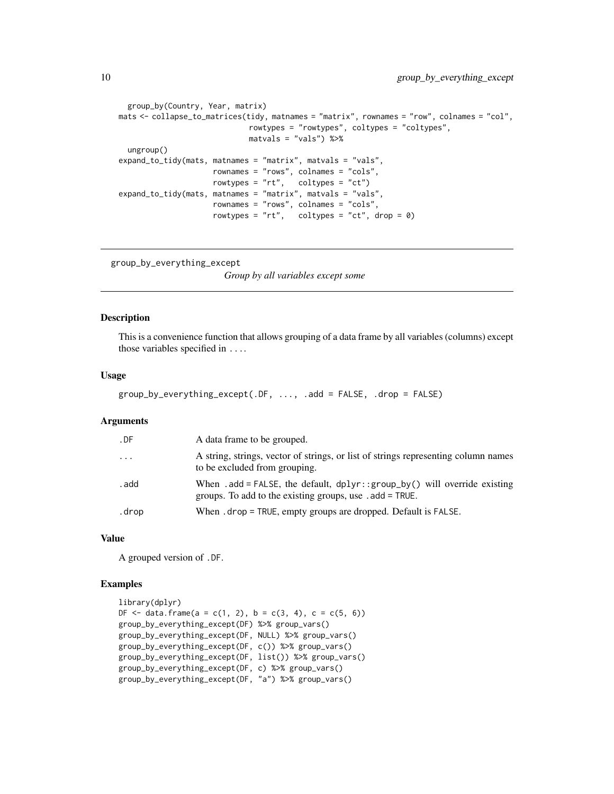```
group_by(Country, Year, matrix)
mats <- collapse_to_matrices(tidy, matnames = "matrix", rownames = "row", colnames = "col",
                             rowtypes = "rowtypes", coltypes = "coltypes",
                             matvals = "vals") %>%
  ungroup()
expand_to_tidy(mats, matnames = "matrix", matvals = "vals",
                     rownames = "rows", colnames = "cols",
                     rowtypes = "rt", coltypes = "ct")
expand_to_tidy(mats, matnames = "matrix", matvals = "vals",
                     rownames = "rows", colnames = "cols",
                     rowtypes = "rt", coltypes = "ct", drop = \emptyset)
```

```
group_by_everything_except
```
*Group by all variables except some*

## Description

This is a convenience function that allows grouping of a data frame by all variables (columns) except those variables specified in ....

#### Usage

```
group_by_everything_except(.DF, ..., .add = FALSE, .drop = FALSE)
```
# Arguments

| . DF     | A data frame to be grouped.                                                                                                             |
|----------|-----------------------------------------------------------------------------------------------------------------------------------------|
| $\ddots$ | A string, strings, vector of strings, or list of strings representing column names<br>to be excluded from grouping.                     |
| . add    | When .add = FALSE, the default, $dplyr$ : group_by() will override existing<br>groups. To add to the existing groups, use . add = TRUE. |
| .drop    | When . drop = TRUE, empty groups are dropped. Default is FALSE.                                                                         |

#### Value

A grouped version of .DF.

```
library(dplyr)
DF \le data.frame(a = c(1, 2), b = c(3, 4), c = c(5, 6))
group_by_everything_except(DF) %>% group_vars()
group_by_everything_except(DF, NULL) %>% group_vars()
group_by_everything_except(DF, c()) %>% group_vars()
group_by_everything_except(DF, list()) %>% group_vars()
group_by_everything_except(DF, c) %>% group_vars()
group_by_everything_except(DF, "a") %>% group_vars()
```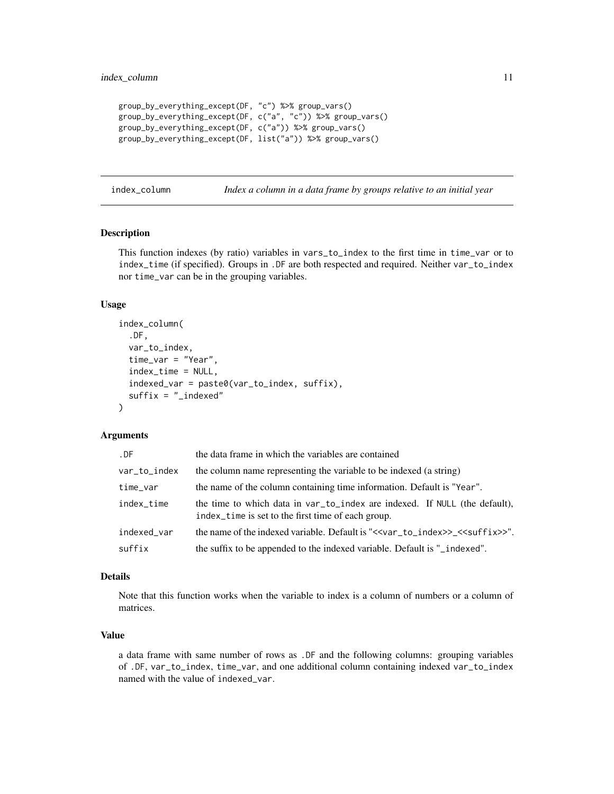```
group_by_everything_except(DF, "c") %>% group_vars()
group_by_everything_except(DF, c("a", "c")) %>% group_vars()
group_by_everything_except(DF, c("a")) %>% group_vars()
group_by_everything_except(DF, list("a")) %>% group_vars()
```
index\_column *Index a column in a data frame by groups relative to an initial year*

# Description

This function indexes (by ratio) variables in vars\_to\_index to the first time in time\_var or to index\_time (if specified). Groups in .DF are both respected and required. Neither var\_to\_index nor time\_var can be in the grouping variables.

### Usage

```
index_column(
  .DF,
  var_to_index,
  time_var = "Year",
  index_time = NULL,
  indexed_var = paste0(var_to_index, suffix),
  suffix = "_indexed"
)
```
# Arguments

| .DF          | the data frame in which the variables are contained                                                                              |
|--------------|----------------------------------------------------------------------------------------------------------------------------------|
| var_to_index | the column name representing the variable to be indexed (a string)                                                               |
| time_var     | the name of the column containing time information. Default is "Year".                                                           |
| index_time   | the time to which data in var_to_index are indexed. If NULL (the default),<br>index_time is set to the first time of each group. |
| indexed var  | the name of the indexed variable. Default is "< <var_to_index>&gt;_&lt;<suffix>&gt;".</suffix></var_to_index>                    |
| suffix       | the suffix to be appended to the indexed variable. Default is "_indexed".                                                        |

#### Details

Note that this function works when the variable to index is a column of numbers or a column of matrices.

# Value

a data frame with same number of rows as .DF and the following columns: grouping variables of .DF, var\_to\_index, time\_var, and one additional column containing indexed var\_to\_index named with the value of indexed\_var.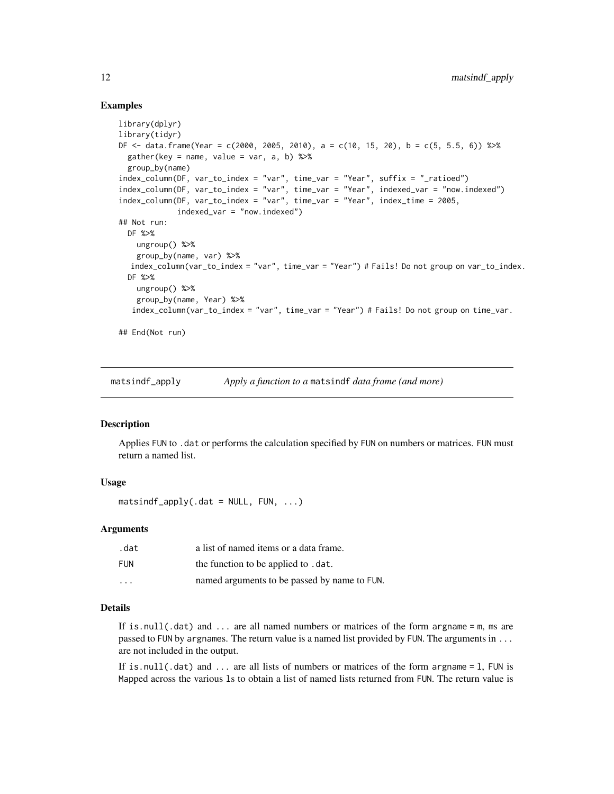# <span id="page-11-0"></span>Examples

```
library(dplyr)
library(tidyr)
DF \le data.frame(Year = c(2000, 2005, 2010), a = c(10, 15, 20), b = c(5, 5.5, 6)) %>%
  gather(key = name, value = var, a, b) %>%
  group_by(name)
index_column(DF, var_to_index = "var", time_var = "Year", suffix = "_ratioed")
index_column(DF, var_to_index = "var", time_var = "Year", indexed_var = "now.indexed")
index_column(DF, var_to_index = "var", time_var = "Year", index_time = 2005,
             indexed_var = "now.indexed")
## Not run:
  DF %>%
   ungroup() %>%
    group_by(name, var) %>%
  index_column(var_to_index = "var", time_var = "Year") # Fails! Do not group on var_to_index.
  DF %>%
   ungroup() %>%
    group_by(name, Year) %>%
   index_column(var_to_index = "var", time_var = "Year") # Fails! Do not group on time_var.
## End(Not run)
```
matsindf\_apply *Apply a function to a* matsindf *data frame (and more)*

# Description

Applies FUN to .dat or performs the calculation specified by FUN on numbers or matrices. FUN must return a named list.

# Usage

 $matsindf_a$ pply(.dat = NULL, FUN, ...)

# Arguments

| .dat                    | a list of named items or a data frame.       |
|-------------------------|----------------------------------------------|
| FUN                     | the function to be applied to .dat.          |
| $\cdot$ $\cdot$ $\cdot$ | named arguments to be passed by name to FUN. |

# Details

If is.null(.dat) and ... are all named numbers or matrices of the form argname = m, ms are passed to FUN by argnames. The return value is a named list provided by FUN. The arguments in ... are not included in the output.

If is.null(.dat) and  $\dots$  are all lists of numbers or matrices of the form argname = 1, FUN is Mapped across the various ls to obtain a list of named lists returned from FUN. The return value is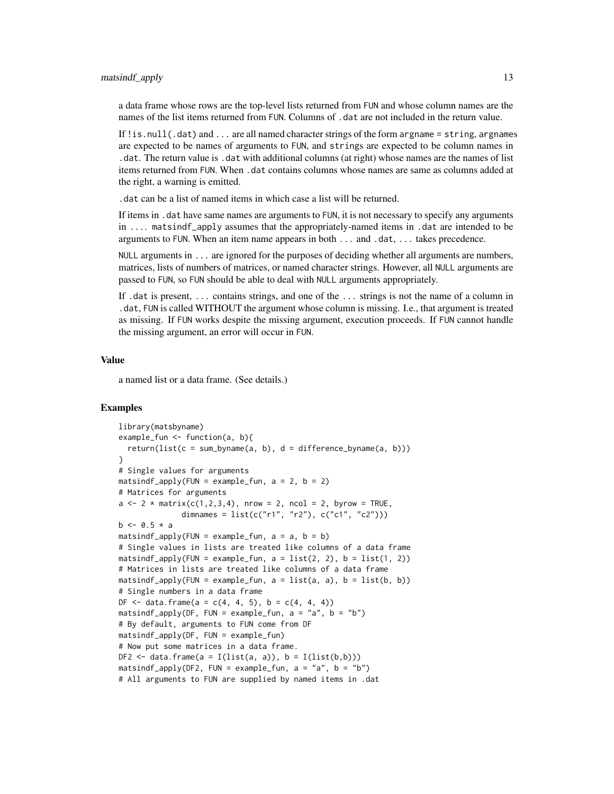matsindf\_apply 13

a data frame whose rows are the top-level lists returned from FUN and whose column names are the names of the list items returned from FUN. Columns of .dat are not included in the return value.

If ! is.  $null(.dat)$  and ... are all named character strings of the form argname = string, argnames are expected to be names of arguments to FUN, and strings are expected to be column names in .dat. The return value is .dat with additional columns (at right) whose names are the names of list items returned from FUN. When .dat contains columns whose names are same as columns added at the right, a warning is emitted.

.dat can be a list of named items in which case a list will be returned.

If items in .dat have same names are arguments to FUN, it is not necessary to specify any arguments in .... matsindf\_apply assumes that the appropriately-named items in .dat are intended to be arguments to FUN. When an item name appears in both ... and .dat, ... takes precedence.

NULL arguments in ... are ignored for the purposes of deciding whether all arguments are numbers, matrices, lists of numbers of matrices, or named character strings. However, all NULL arguments are passed to FUN, so FUN should be able to deal with NULL arguments appropriately.

If .dat is present, ... contains strings, and one of the ... strings is not the name of a column in .dat, FUN is called WITHOUT the argument whose column is missing. I.e., that argument is treated as missing. If FUN works despite the missing argument, execution proceeds. If FUN cannot handle the missing argument, an error will occur in FUN.

### Value

a named list or a data frame. (See details.)

```
library(matsbyname)
example_fun <- function(a, b){
  return(list(c = sum_byname(a, b), d = difference_byname(a, b)))
}
# Single values for arguments
matsindf_apply(FUN = example_fun, a = 2, b = 2)
# Matrices for arguments
a \le -2 \times \text{matrix}(c(1,2,3,4)), nrow = 2, ncol = 2, byrow = TRUE,
              dimnames = list(c("r1", "r2"), c("c1", "c2"))b \le -0.5 * amatsindf_apply(FUN = example_fun, a = a, b = b)
# Single values in lists are treated like columns of a data frame
matsindf_apply(FUN = example_fun, a = list(2, 2), b = list(1, 2))
# Matrices in lists are treated like columns of a data frame
matsindf_apply(FUN = example_fun, a = list(a, a), b = list(b, b))
# Single numbers in a data frame
DF \le data.frame(a = c(4, 4, 5), b = c(4, 4, 4))
matsindf_apply(DF, FUN = example_fun, a = "a", b = "b")# By default, arguments to FUN come from DF
matsindf_apply(DF, FUN = example_fun)
# Now put some matrices in a data frame.
DF2 \leftarrow data.frame(a = I(list(a, a)), b = I(list(b,b)))
matsindf_apply(DF2, FUN = example_fun, a = "a", b = "b")# All arguments to FUN are supplied by named items in .dat
```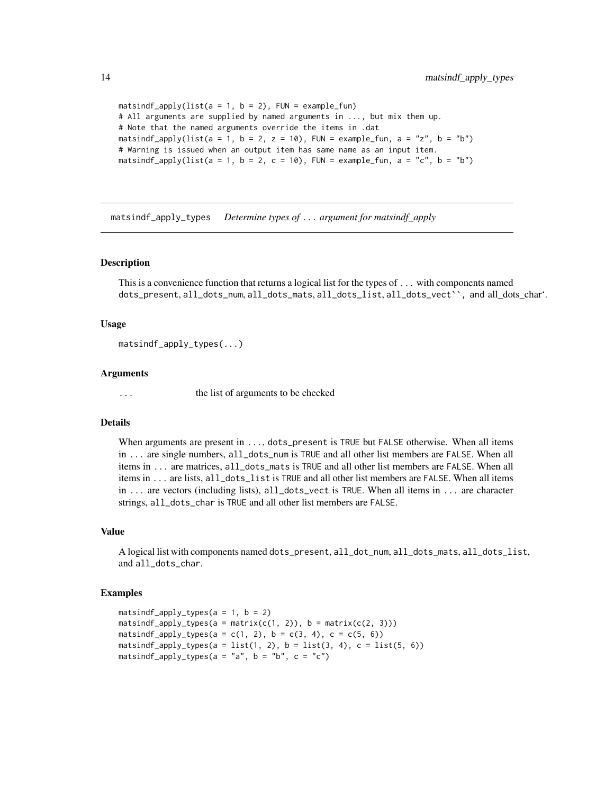```
matsindf_apply(list(a = 1, b = 2), FUN = example_fun)
# All arguments are supplied by named arguments in ..., but mix them up.
# Note that the named arguments override the items in .dat
matsindf_apply(list(a = 1, b = 2, z = 10), FUN = example_fun, a = "z", b = "b")
# Warning is issued when an output item has same name as an input item.
matsindf_apply(list(a = 1, b = 2, c = 10), FUN = example_fun, a = "c", b = "b")
```
matsindf\_apply\_types *Determine types of* ... *argument for matsindf\_apply*

#### **Description**

This is a convenience function that returns a logical list for the types of ... with components named dots\_present, all\_dots\_num, all\_dots\_mats, all\_dots\_list, all\_dots\_vect``, and all\_dots\_char'.

## Usage

```
matsindf_apply_types(...)
```
# Arguments

... the list of arguments to be checked

# Details

When arguments are present in ..., dots\_present is TRUE but FALSE otherwise. When all items in ... are single numbers, all\_dots\_num is TRUE and all other list members are FALSE. When all items in ... are matrices, all\_dots\_mats is TRUE and all other list members are FALSE. When all items in ... are lists, all\_dots\_list is TRUE and all other list members are FALSE. When all items in ... are vectors (including lists), all\_dots\_vect is TRUE. When all items in ... are character strings, all\_dots\_char is TRUE and all other list members are FALSE.

# Value

A logical list with components named dots\_present, all\_dot\_num, all\_dots\_mats, all\_dots\_list, and all\_dots\_char.

```
matsindf<sub>-apply</sub>-types(a = 1, b = 2)
matsindf_apply_types(a = matrix(c(1, 2)), b = matrix(c(2, 3)))
matsindf_apply_types(a = c(1, 2), b = c(3, 4), c = c(5, 6))
matsindf_apply_types(a = list(1, 2), b = list(3, 4), c = list(5, 6))
matsindf_apply_types(a = "a", b = "b", c = "c")
```
<span id="page-13-0"></span>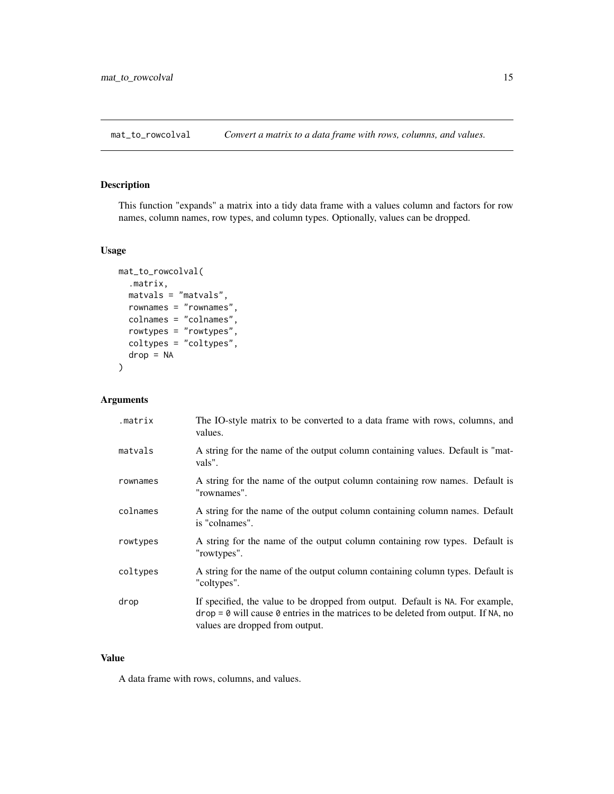<span id="page-14-0"></span>mat\_to\_rowcolval *Convert a matrix to a data frame with rows, columns, and values.*

# Description

This function "expands" a matrix into a tidy data frame with a values column and factors for row names, column names, row types, and column types. Optionally, values can be dropped.

# Usage

```
mat_to_rowcolval(
  .matrix,
 matvals = "matvals",
  rownames = "rownames",
  colnames = "colnames",
  rowtypes = "rowtypes",
  coltypes = "coltypes",
  drop = NA
)
```
# Arguments

| .matrix  | The IO-style matrix to be converted to a data frame with rows, columns, and<br>values.                                                                                                                    |
|----------|-----------------------------------------------------------------------------------------------------------------------------------------------------------------------------------------------------------|
| matvals  | A string for the name of the output column containing values. Default is "mat-<br>vals".                                                                                                                  |
| rownames | A string for the name of the output column containing row names. Default is<br>"rownames".                                                                                                                |
| colnames | A string for the name of the output column containing column names. Default<br>is "colnames".                                                                                                             |
| rowtypes | A string for the name of the output column containing row types. Default is<br>"rowtypes".                                                                                                                |
| coltypes | A string for the name of the output column containing column types. Default is<br>"coltypes".                                                                                                             |
| drop     | If specified, the value to be dropped from output. Default is NA. For example,<br>$drop = 0$ will cause 0 entries in the matrices to be deleted from output. If NA, no<br>values are dropped from output. |

# Value

A data frame with rows, columns, and values.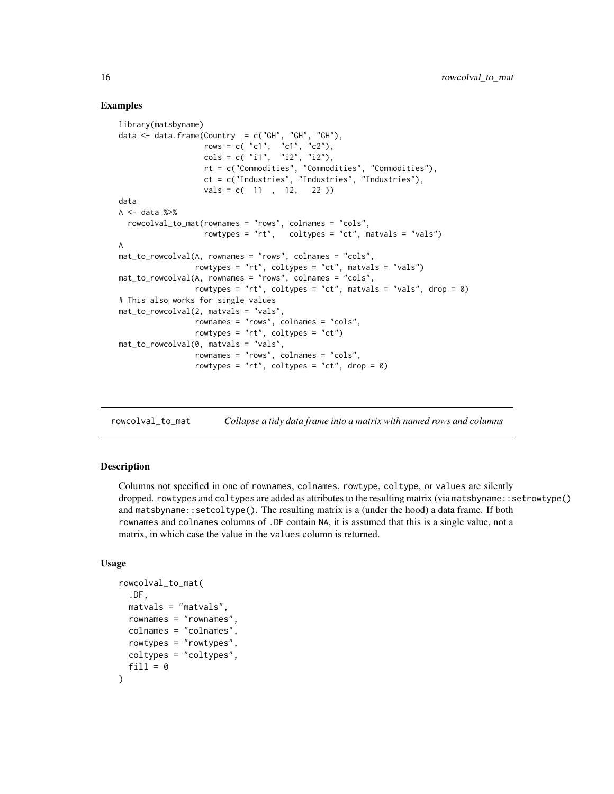# Examples

```
library(matsbyname)
data \leq data.frame(Country = c("GH", "GH", "GH"),
                   rows = c('c1", 'c1", 'c2"),\text{cols} = \text{c}(\text{ "i1", "i2", "i2");}rt = c("Commodities", "Commodities", "Commodities"),
                    ct = c("Industries", "Industries", "Industries"),
                   vals = c( 11 , 12, 22 )data
A \leftarrow data %> %rowcolval_to_mat(rownames = "rows", colnames = "cols",
                   rowtypes = "rt", coltypes = "ct", matvals = "vals")
A
mat_to_rowcolval(A, rownames = "rows", colnames = "cols",
                 rowtypes = "rt", coltypes = "ct", matvals = "vals")
mat_to_rowcolval(A, rownames = "rows", colnames = "cols",
                 rowtypes = "rt", coltypes = "ct", matvals = "vals", drop = \theta)
# This also works for single values
mat_to_rowcolval(2, matvals = "vals",
                 rownames = "rows", colnames = "cols",
                 rowtypes = "rt", coltypes = "ct")
mat_to_rowcolval(0, matvals = "vals",
                 rownames = "rows", colnames = "cols",
                 rowtypes = "rt", coltypes = "ct", drop = \emptyset)
```
rowcolval\_to\_mat *Collapse a tidy data frame into a matrix with named rows and columns*

# Description

Columns not specified in one of rownames, colnames, rowtype, coltype, or values are silently dropped. rowtypes and coltypes are added as attributes to the resulting matrix (via matsbyname::setrowtype() and matsbyname::setcoltype(). The resulting matrix is a (under the hood) a data frame. If both rownames and colnames columns of .DF contain NA, it is assumed that this is a single value, not a matrix, in which case the value in the values column is returned.

```
rowcolval_to_mat(
  .DF,
  matvals = "matvals",
  rownames = "rownames",
  colnames = "colnames",
  rowtypes = "rowtypes",
  coltypes = "coltypes",
  fill = <math>\emptyset</math>)
```
<span id="page-15-0"></span>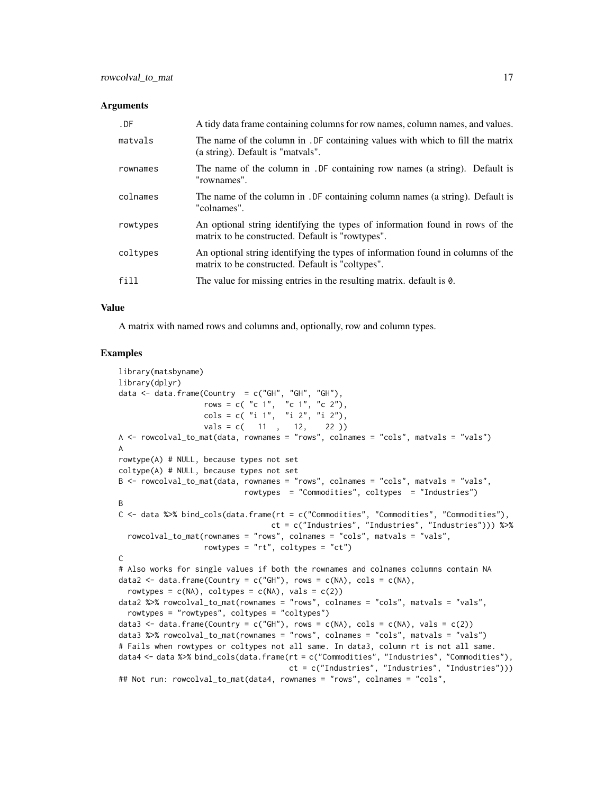| $.$ $DF$ | A tidy data frame containing columns for row names, column names, and values.                                                       |
|----------|-------------------------------------------------------------------------------------------------------------------------------------|
| matvals  | The name of the column in . DF containing values with which to fill the matrix<br>(a string). Default is "matvals".                 |
| rownames | The name of the column in . DF containing row names (a string). Default is<br>"rownames".                                           |
| colnames | The name of the column in . DF containing column names (a string). Default is<br>"colnames".                                        |
| rowtypes | An optional string identifying the types of information found in rows of the<br>matrix to be constructed. Default is "rowtypes".    |
| coltypes | An optional string identifying the types of information found in columns of the<br>matrix to be constructed. Default is "coltypes". |
| fill     | The value for missing entries in the resulting matrix. default is 0.                                                                |

#### Value

A matrix with named rows and columns and, optionally, row and column types.

```
library(matsbyname)
library(dplyr)
data \leq data.frame(Country = c("GH", "GH", "GH"),
                   rows = c( "c 1", "c 1", "c 2"),
                   \text{cols} = c("i 1", "i 2", "i 2"),vals = c( 11 , 12, 22 )A <- rowcolval_to_mat(data, rownames = "rows", colnames = "cols", matvals = "vals")
A
rowtype(A) # NULL, because types not set
coltype(A) # NULL, because types not set
B <- rowcolval_to_mat(data, rownames = "rows", colnames = "cols", matvals = "vals",
                            rowtypes = "Commodities", coltypes = "Industries")
B
C <- data %>% bind_cols(data.frame(rt = c("Commodities", "Commodities", "Commodities"),
                                  ct = c("Industries", "Industries", "Industries"))) %>%
  rowcolval_to_mat(rownames = "rows", colnames = "cols", matvals = "vals",
                   rowtypes = "rt", coltypes = "ct")C
# Also works for single values if both the rownames and colnames columns contain NA
data2 <- data.frame(Country = c("GH"), rows = c(NA), cols = c(NA),
  rowtypes = c(NA), coltypes = c(NA), vals = c(2))
data2 %>% rowcolval_to_mat(rownames = "rows", colnames = "cols", matvals = "vals",
  rowtypes = "rowtypes", coltypes = "coltypes")
data3 <- data.frame(Country = c("GH"), rows = c(NA), cols = c(NA), vals = c(2))
data3 %>% rowcolval_to_mat(rownames = "rows", colnames = "cols", matvals = "vals")
# Fails when rowtypes or coltypes not all same. In data3, column rt is not all same.
data4 <- data %>% bind_cols(data.frame(rt = c("Commodities", "Industries", "Commodities"),
                                      ct = c("Industries", "Industries", "Industries")))
## Not run: rowcolval_to_mat(data4, rownames = "rows", colnames = "cols",
```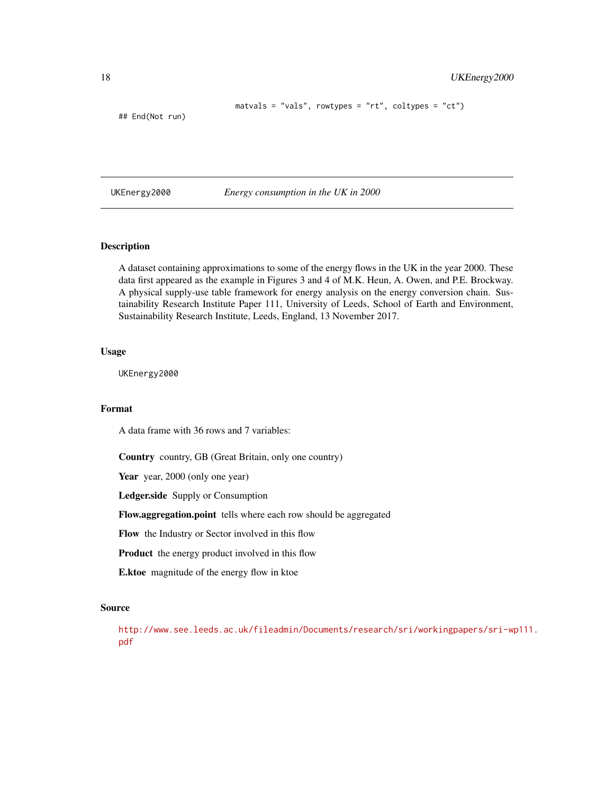```
matvals = "vals", rowtypes = "rt", coltypes = "ct")
```
## End(Not run)

UKEnergy2000 *Energy consumption in the UK in 2000*

# Description

A dataset containing approximations to some of the energy flows in the UK in the year 2000. These data first appeared as the example in Figures 3 and 4 of M.K. Heun, A. Owen, and P.E. Brockway. A physical supply-use table framework for energy analysis on the energy conversion chain. Sustainability Research Institute Paper 111, University of Leeds, School of Earth and Environment, Sustainability Research Institute, Leeds, England, 13 November 2017.

# Usage

UKEnergy2000

# Format

A data frame with 36 rows and 7 variables:

Country country, GB (Great Britain, only one country)

Year year, 2000 (only one year)

Ledger.side Supply or Consumption

Flow.aggregation.point tells where each row should be aggregated

Flow the Industry or Sector involved in this flow

Product the energy product involved in this flow

E.ktoe magnitude of the energy flow in ktoe

#### Source

[http://www.see.leeds.ac.uk/fileadmin/Documents/research/sri/workingpapers/sri-wp](http://www.see.leeds.ac.uk/fileadmin/Documents/research/sri/workingpapers/sri-wp111.pdf)111. [pdf](http://www.see.leeds.ac.uk/fileadmin/Documents/research/sri/workingpapers/sri-wp111.pdf)

<span id="page-17-0"></span>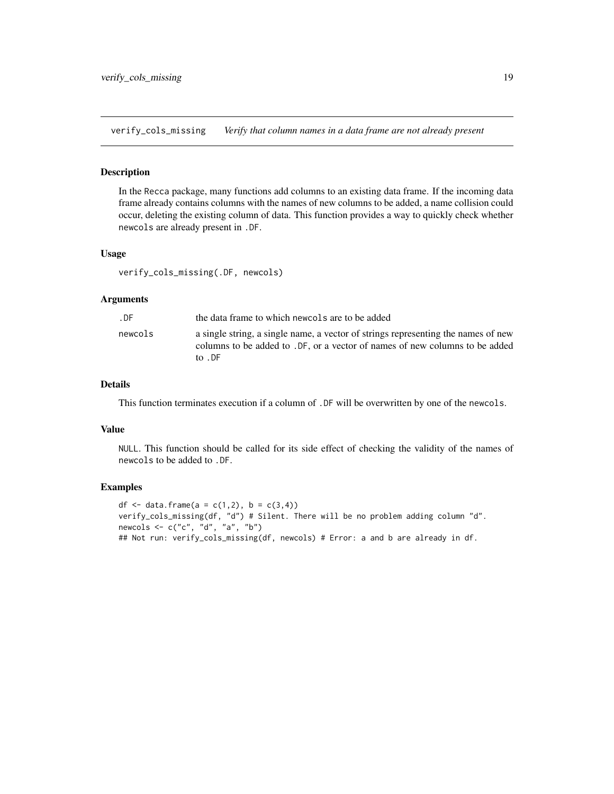<span id="page-18-0"></span>verify\_cols\_missing *Verify that column names in a data frame are not already present*

# Description

In the Recca package, many functions add columns to an existing data frame. If the incoming data frame already contains columns with the names of new columns to be added, a name collision could occur, deleting the existing column of data. This function provides a way to quickly check whether newcols are already present in .DF.

# Usage

verify\_cols\_missing(.DF, newcols)

#### Arguments

| . DF    | the data frame to which newcols are to be added                                                                                                                                        |
|---------|----------------------------------------------------------------------------------------------------------------------------------------------------------------------------------------|
| newcols | a single string, a single name, a vector of strings representing the names of new<br>columns to be added to .DF, or a vector of names of new columns to be added<br>to $\overline{DE}$ |

# Details

This function terminates execution if a column of .DF will be overwritten by one of the newcols.

# Value

NULL. This function should be called for its side effect of checking the validity of the names of newcols to be added to .DF.

```
df \le data.frame(a = c(1,2), b = c(3,4))
verify_cols_missing(df, "d") # Silent. There will be no problem adding column "d".
newcols <- c("c", "d", "a", "b")
## Not run: verify_cols_missing(df, newcols) # Error: a and b are already in df.
```